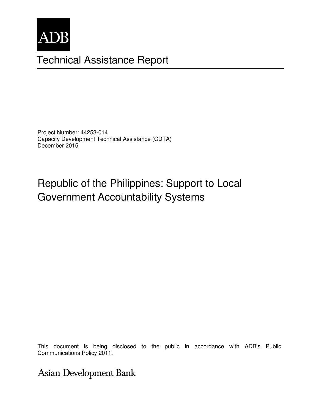

# Technical Assistance Report

Project Number: 44253-014 Capacity Development Technical Assistance (CDTA) December 2015

# Republic of the Philippines: Support to Local Government Accountability Systems

This document is being disclosed to the public in accordance with ADB's Public Communications Policy 2011. **Communications Policy 2011.** 

**Asian Development Bank**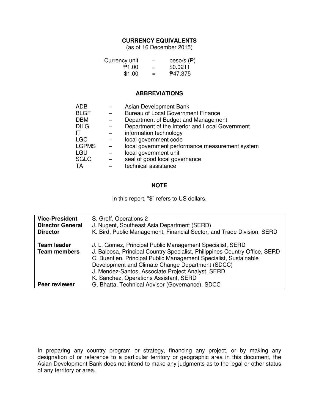#### **CURRENCY EQUIVALENTS**

(as of 16 December 2015)

| Currency unit | -   | peso/s $(\bar{P})$ |
|---------------|-----|--------------------|
| ₱1.00         | $=$ | \$0.0211           |
| \$1.00        | $=$ | <b>P47.375</b>     |

#### **ABBREVIATIONS**

| <b>ADB</b>   | Asian Development Bank                          |
|--------------|-------------------------------------------------|
| <b>BLGF</b>  | <b>Bureau of Local Government Finance</b>       |
| <b>DBM</b>   | Department of Budget and Management             |
| <b>DILG</b>  | Department of the Interior and Local Government |
| IΤ           | information technology                          |
| <b>LGC</b>   | local government code                           |
| <b>LGPMS</b> | local government performance measurement system |
| LGU          | local government unit                           |
| <b>SGLG</b>  | seal of good local governance                   |
| ТA           | technical assistance                            |

#### **NOTE**

In this report, "\$" refers to US dollars.

| <b>Vice-President</b>                     | S. Groff, Operations 2                                                                                                                  |  |  |
|-------------------------------------------|-----------------------------------------------------------------------------------------------------------------------------------------|--|--|
| <b>Director General</b>                   | J. Nugent, Southeast Asia Department (SERD)                                                                                             |  |  |
| <b>Director</b>                           | K. Bird, Public Management, Financial Sector, and Trade Division, SERD                                                                  |  |  |
| <b>Team leader</b><br><b>Team members</b> | J. L. Gomez, Principal Public Management Specialist, SERD<br>J. Balbosa, Principal Country Specialist, Philippines Country Office, SERD |  |  |
|                                           | C. Buentjen, Principal Public Management Specialist, Sustainable<br>Development and Climate Change Department (SDCC)                    |  |  |
|                                           | J. Mendez-Santos, Associate Project Analyst, SERD                                                                                       |  |  |
|                                           | K. Sanchez, Operations Assistant, SERD                                                                                                  |  |  |
| Peer reviewer                             | G. Bhatta, Technical Advisor (Governance), SDCC                                                                                         |  |  |

In preparing any country program or strategy, financing any project, or by making any designation of or reference to a particular territory or geographic area in this document, the Asian Development Bank does not intend to make any judgments as to the legal or other status of any territory or area.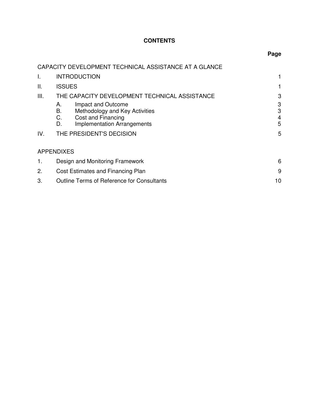# **CONTENTS**

|             | CAPACITY DEVELOPMENT TECHNICAL ASSISTANCE AT A GLANCE                                                                                                                                                                 |                            |  |
|-------------|-----------------------------------------------------------------------------------------------------------------------------------------------------------------------------------------------------------------------|----------------------------|--|
| I.          | <b>INTRODUCTION</b>                                                                                                                                                                                                   | 1                          |  |
| Ш.          | <b>ISSUES</b>                                                                                                                                                                                                         |                            |  |
| III.<br>IV. | THE CAPACITY DEVELOPMENT TECHNICAL ASSISTANCE<br>Impact and Outcome<br>А.<br>Methodology and Key Activities<br>В.<br>Cost and Financing<br>C.<br><b>Implementation Arrangements</b><br>D.<br>THE PRESIDENT'S DECISION | 3<br>3<br>3<br>4<br>5<br>5 |  |
|             | <b>APPENDIXES</b>                                                                                                                                                                                                     |                            |  |
| 1.          | Design and Monitoring Framework                                                                                                                                                                                       | 6                          |  |
| 2.          | Cost Estimates and Financing Plan                                                                                                                                                                                     |                            |  |
| 3.          | <b>Outline Terms of Reference for Consultants</b><br>10                                                                                                                                                               |                            |  |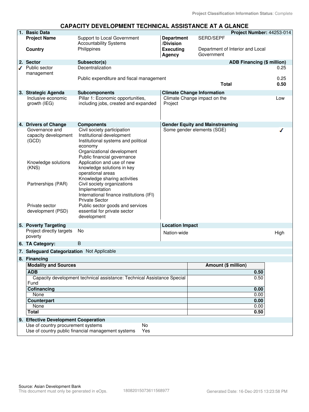#### **CAPACITY DEVELOPMENT TECHNICAL ASSISTANCE AT A GLANCE**

|   | 1. Basic Data                                                                   |                                                                   |                                |                                        | Project Number: 44253-014         |              |
|---|---------------------------------------------------------------------------------|-------------------------------------------------------------------|--------------------------------|----------------------------------------|-----------------------------------|--------------|
|   | <b>Project Name</b>                                                             | Support to Local Government<br><b>Accountability Systems</b>      | <b>Department</b><br>/Division | SERD/SEPF                              |                                   |              |
|   | Country                                                                         | Philippines                                                       | <b>Executing</b><br>Agency     | Government                             | Department of Interior and Local  |              |
|   | 2. Sector                                                                       | Subsector(s)                                                      |                                |                                        | <b>ADB Financing (\$ million)</b> |              |
| ℐ | Public sector                                                                   | Decentralization                                                  |                                |                                        |                                   | 0.25         |
|   | management                                                                      |                                                                   |                                |                                        |                                   |              |
|   |                                                                                 | Public expenditure and fiscal management                          |                                | <b>Total</b>                           |                                   | 0.25<br>0.50 |
|   | 3. Strategic Agenda                                                             | <b>Subcomponents</b>                                              |                                | <b>Climate Change Information</b>      |                                   |              |
|   | Inclusive economic                                                              | Pillar 1: Economic opportunities,                                 |                                | Climate Change impact on the           |                                   | Low          |
|   | growth (IEG)                                                                    | including jobs, created and expanded                              | Project                        |                                        |                                   |              |
|   | 4. Drivers of Change                                                            | <b>Components</b>                                                 |                                | <b>Gender Equity and Mainstreaming</b> |                                   |              |
|   | Governance and                                                                  | Civil society participation                                       |                                | Some gender elements (SGE)             |                                   |              |
|   | capacity development                                                            | Institutional development                                         |                                |                                        |                                   |              |
|   | (GCD)                                                                           | Institutional systems and political                               |                                |                                        |                                   |              |
|   |                                                                                 | economy                                                           |                                |                                        |                                   |              |
|   |                                                                                 | Organizational development                                        |                                |                                        |                                   |              |
|   |                                                                                 | Public financial governance<br>Application and use of new         |                                |                                        |                                   |              |
|   | Knowledge solutions<br>(KNS)                                                    | knowledge solutions in key                                        |                                |                                        |                                   |              |
|   |                                                                                 | operational areas                                                 |                                |                                        |                                   |              |
|   |                                                                                 | Knowledge sharing activities                                      |                                |                                        |                                   |              |
|   | Partnerships (PAR)                                                              | Civil society organizations                                       |                                |                                        |                                   |              |
|   |                                                                                 | Implementation                                                    |                                |                                        |                                   |              |
|   |                                                                                 | International finance institutions (IFI)<br><b>Private Sector</b> |                                |                                        |                                   |              |
|   | Private sector                                                                  | Public sector goods and services                                  |                                |                                        |                                   |              |
|   | development (PSD)                                                               | essential for private sector                                      |                                |                                        |                                   |              |
|   |                                                                                 | development                                                       |                                |                                        |                                   |              |
|   | 5. Poverty Targeting                                                            |                                                                   | <b>Location Impact</b>         |                                        |                                   |              |
|   | Project directly targets<br>poverty                                             | No                                                                | Nation-wide                    |                                        |                                   | High         |
|   | 6. TA Category:                                                                 | B                                                                 |                                |                                        |                                   |              |
|   | 7. Safeguard Categorization Not Applicable                                      |                                                                   |                                |                                        |                                   |              |
|   | 8. Financing                                                                    |                                                                   |                                |                                        |                                   |              |
|   | <b>Modality and Sources</b>                                                     |                                                                   |                                | Amount (\$ million)                    |                                   |              |
|   | <b>ADB</b>                                                                      |                                                                   |                                |                                        | 0.50                              |              |
|   | Capacity development technical assistance: Technical Assistance Special<br>Fund |                                                                   |                                |                                        | 0.50                              |              |
|   | Cofinancing                                                                     |                                                                   |                                |                                        | 0.00                              |              |
|   | None                                                                            |                                                                   |                                |                                        | 0.00                              |              |
|   | Counterpart<br>None                                                             |                                                                   |                                |                                        | 0.00                              |              |
|   | <b>Total</b>                                                                    |                                                                   |                                |                                        | 0.00<br>0.50                      |              |
|   |                                                                                 |                                                                   |                                |                                        |                                   |              |
|   | 9. Effective Development Cooperation<br>Use of country procurement systems      | No                                                                |                                |                                        |                                   |              |
|   |                                                                                 | Use of country public financial management systems<br>Yes         |                                |                                        |                                   |              |
|   |                                                                                 |                                                                   |                                |                                        |                                   |              |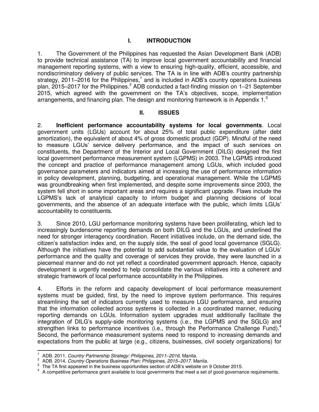## **I. INTRODUCTION**

1. The Government of the Philippines has requested the Asian Development Bank (ADB) to provide technical assistance (TA) to improve local government accountability and financial management reporting systems, with a view to ensuring high-quality, efficient, accessible, and nondiscriminatory delivery of public services. The TA is in line with ADB's country partnership strategy, 2011–2016 for the Philippines,<sup>1</sup> and is included in ADB's country operations business plan, 2015–2017 for the Philippines.<sup>2</sup> ADB conducted a fact-finding mission on 1–21 September 2015, which agreed with the government on the TA's objectives, scope, implementation arrangements, and financing plan. The design and monitoring framework is in Appendix  $1<sup>3</sup>$ 

#### **II. ISSUES**

2. **Inefficient performance accountability systems for local governments**. Local government units (LGUs) account for about 25% of total public expenditure (after debt amortization), the equivalent of about 4% of gross domestic product (GDP). Mindful of the need to measure LGUs' service delivery performance, and the impact of such services on constituents, the Department of the Interior and Local Government (DILG) designed the first local government performance measurement system (LGPMS) in 2003. The LGPMS introduced the concept and practice of performance management among LGUs, which included good governance parameters and indicators aimed at increasing the use of performance information in policy development, planning, budgeting, and operational management. While the LGPMS was groundbreaking when first implemented, and despite some improvements since 2003, the system fell short in some important areas and requires a significant upgrade. Flaws include the LGPMS's lack of analytical capacity to inform budget and planning decisions of local governments, and the absence of an adequate interface with the public, which limits LGUs' accountability to constituents.

3. Since 2010, LGU performance monitoring systems have been proliferating, which led to increasingly burdensome reporting demands on both DILG and the LGUs, and underlined the need for stronger interagency coordination. Recent initiatives include, on the demand side, the citizen's satisfaction index and, on the supply side, the seal of good local governance (SGLG). Although the initiatives have the potential to add substantial value to the evaluation of LGUs' performance and the quality and coverage of services they provide, they were launched in a piecemeal manner and do not yet reflect a coordinated government approach. Hence, capacity development is urgently needed to help consolidate the various initiatives into a coherent and strategic framework of local performance accountability in the Philippines.

4. Efforts in the reform and capacity development of local performance measurement systems must be guided, first, by the need to improve system performance. This requires streamlining the set of indicators currently used to measure LGU performance, and ensuring that the information collected across systems is collected in a coordinated manner, reducing reporting demands on LGUs. Information system upgrades must additionally facilitate the integration of DILG's supply-side monitoring systems (i.e., the LGPMS and the SGLG) and strengthen links to performance incentives (i.e., through the Performance Challenge Fund).<sup>4</sup> Second, the performance measurement systems need to respond to increasing demands and expectations from the public at large (e.g., citizens, businesses, civil society organizations) for

j 1 ADB. 2011. *Country Partnership Strategy: Philippines, 2011–2016*. Manila.

<sup>2</sup> ADB. 2014. *Country Operations Business Plan: Philippines, 2015–2017*. Manila.

<sup>3</sup> The TA first appeared in the business opportunities section of ADB's website on 9 October 2015.

<sup>4</sup> A competitive performance grant available to local governments that meet a set of good governance requirements.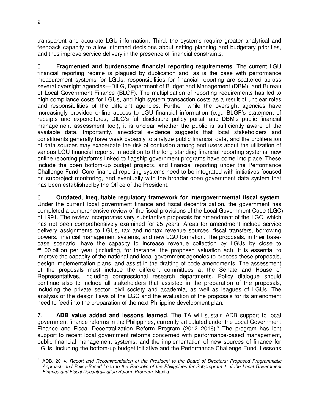transparent and accurate LGU information. Third, the systems require greater analytical and feedback capacity to allow informed decisions about setting planning and budgetary priorities, and thus improve service delivery in the presence of financial constraints.

5. **Fragmented and burdensome financial reporting requirements**. The current LGU financial reporting regime is plagued by duplication and, as is the case with performance measurement systems for LGUs, responsibilities for financial reporting are scattered across several oversight agencies—DILG, Department of Budget and Management (DBM), and Bureau of Local Government Finance (BLGF). The multiplication of reporting requirements has led to high compliance costs for LGUs, and high system transaction costs as a result of unclear roles and responsibilities of the different agencies. Further, while the oversight agencies have increasingly provided online access to LGU financial information (e.g., BLGF's statement of receipts and expenditures, DILG's full disclosure policy portal, and DBM's public financial management assessment tool), it is unclear whether the public is sufficiently aware of the available data. Importantly, anecdotal evidence suggests that local stakeholders and constituents generally have weak capacity to analyze public financial data, and the proliferation of data sources may exacerbate the risk of confusion among end users about the utilization of various LGU financial reports. In addition to the long-standing financial reporting systems, new online reporting platforms linked to flagship government programs have come into place. These include the open bottom-up budget projects, and financial reporting under the Performance Challenge Fund. Core financial reporting systems need to be integrated with initiatives focused on subproject monitoring, and eventually with the broader open government data system that has been established by the Office of the President.

6. **Outdated, inequitable regulatory framework for intergovernmental fiscal system**. Under the current local government finance and fiscal decentralization, the government has completed a comprehensive review of the fiscal provisions of the Local Government Code (LGC) of 1991. The review incorporates very substantive proposals for amendment of the LGC, which has not been comprehensively examined for 25 years. Areas for amendment include service delivery assignments to LGUs, tax and nontax revenue sources, fiscal transfers, borrowing powers, financial management systems, and new LGU formation. The proposals, in their basecase scenario, have the capacity to increase revenue collection by LGUs by close to ₱100 billion per year (including, for instance, the proposed valuation act). It is essential to improve the capacity of the national and local government agencies to process these proposals, design implementation plans, and assist in the drafting of code amendments. The assessment of the proposals must include the different committees at the Senate and House of Representatives, including congressional research departments. Policy dialogue should continue also to include all stakeholders that assisted in the preparation of the proposals, including the private sector, civil society and academia, as well as leagues of LGUs. The analysis of the design flaws of the LGC and the evaluation of the proposals for its amendment need to feed into the preparation of the next Philippine development plan.

7. **ADB value added and lessons learned**. The TA will sustain ADB support to local government finance reforms in the Philippines, currently articulated under the Local Government Finance and Fiscal Decentralization Reform Program (2012–2016).<sup>5</sup> The program has lent support to recent local government reforms concerned with performance-based management, public financial management systems, and the implementation of new sources of finance for LGUs, including the bottom-up budget initiative and the Performance Challenge Fund. Lessons

 5 ADB. 2014. *Report and Recommendation of the President to the Board of Directors: Proposed Programmatic Approach and Policy-Based Loan to the Republic of the Philippines for Subprogram 1 of the Local Government Finance and Fiscal Decentralization Reform Program.* Manila.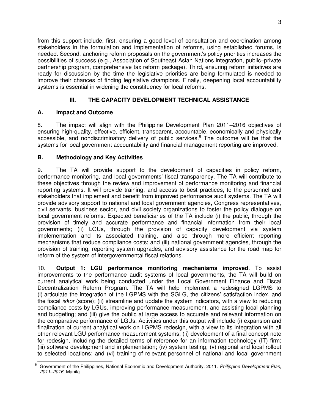from this support include, first, ensuring a good level of consultation and coordination among stakeholders in the formulation and implementation of reforms, using established forums, is needed. Second, anchoring reform proposals on the government's policy priorities increases the possibilities of success (e.g., Association of Southeast Asian Nations integration, public–private partnership program, comprehensive tax reform package). Third, ensuring reform initiatives are ready for discussion by the time the legislative priorities are being formulated is needed to improve their chances of finding legislative champions. Finally, deepening local accountability systems is essential in widening the constituency for local reforms.

# **III. THE CAPACITY DEVELOPMENT TECHNICAL ASSISTANCE**

## **A. Impact and Outcome**

8. The impact will align with the Philippine Development Plan 2011–2016 objectives of ensuring high-quality, effective, efficient, transparent, accountable, economically and physically accessible, and nondiscriminatory delivery of public services.<sup>6</sup> The outcome will be that the systems for local government accountability and financial management reporting are improved.

## **B. Methodology and Key Activities**

9. The TA will provide support to the development of capacities in policy reform, performance monitoring, and local governments' fiscal transparency. The TA will contribute to these objectives through the review and improvement of performance monitoring and financial reporting systems. It will provide training, and access to best practices, to the personnel and stakeholders that implement and benefit from improved performance audit systems. The TA will provide advisory support to national and local government agencies, Congress representatives, civil servants, business sector, and civil society organizations to foster the policy dialogue on local government reforms. Expected beneficiaries of the TA include (i) the public, through the provision of timely and accurate performance and financial information from their local governments; (ii) LGUs, through the provision of capacity development via system implementation and its associated training, and also through more efficient reporting mechanisms that reduce compliance costs; and (iii) national government agencies, through the provision of training, reporting system upgrades, and advisory assistance for the road map for reform of the system of intergovernmental fiscal relations.

10. **Output 1: LGU performance monitoring mechanisms improved**. To assist improvements to the performance audit systems of local governments, the TA will build on current analytical work being conducted under the Local Government Finance and Fiscal Decentralization Reform Program. The TA will help implement a redesigned LGPMS to (i) articulate the integration of the LGPMS with the SGLG, the citizens' satisfaction index, and the fiscal *iskor* (score); (ii) streamline and update the system indicators, with a view to reducing compliance costs by LGUs, improving performance measurement, and assisting local planning and budgeting; and (iii) give the public at large access to accurate and relevant information on the comparative performance of LGUs. Activities under this output will include (i) expansion and finalization of current analytical work on LGPMS redesign, with a view to its integration with all other relevant LGU performance measurement systems; (ii) development of a final concept note for redesign, including the detailed terms of reference for an information technology (IT) firm; (iii) software development and implementation; (iv) system testing; (v) regional and local rollout to selected locations; and (vi) training of relevant personnel of national and local government

 6 Government of the Philippines, National Economic and Development Authority. 2011. *Philippine Development Plan, 2011–2016.* Manila.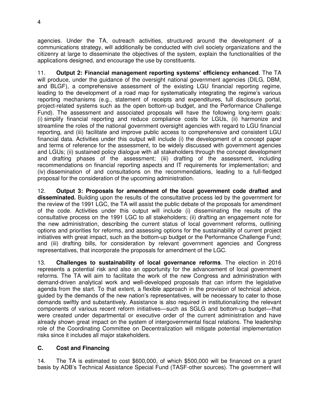agencies. Under the TA, outreach activities, structured around the development of a communications strategy, will additionally be conducted with civil society organizations and the citizenry at large to disseminate the objectives of the system, explain the functionalities of the applications designed, and encourage the use by constituents.

11. **Output 2: Financial management reporting systems' efficiency enhanced**. The TA will produce, under the guidance of the oversight national government agencies (DILG, DBM, and BLGF), a comprehensive assessment of the existing LGU financial reporting regime, leading to the development of a road map for systematically integrating the regime's various reporting mechanisms (e.g., statement of receipts and expenditures, full disclosure portal, project-related systems such as the open bottom-up budget, and the Performance Challenge Fund). The assessment and associated proposals will have the following long-term goals: (i) simplify financial reporting and reduce compliance costs for LGUs, (ii) harmonize and streamline the roles of the national government oversight agencies with regard to LGU financial reporting, and (iii) facilitate and improve public access to comprehensive and consistent LGU financial data. Activities under this output will include (i) the development of a concept paper and terms of reference for the assessment, to be widely discussed with government agencies and LGUs; (ii) sustained policy dialogue with all stakeholders through the concept development and drafting phases of the assessment; (iii) drafting of the assessment, including recommendations on financial reporting aspects and IT requirements for implementation; and (iv) dissemination of and consultations on the recommendations, leading to a full-fledged proposal for the consideration of the upcoming administration.

12. **Output 3: Proposals for amendment of the local government code drafted and disseminated.** Building upon the results of the consultative process led by the government for the review of the 1991 LGC, the TA will assist the public debate of the proposals for amendment of the code. Activities under this output will include (i) disseminating the results of the consultative process on the 1991 LGC to all stakeholders; (ii) drafting an engagement note for the new administration, describing the current status of local government reforms, outlining options and priorities for reforms, and assessing options for the sustainability of current project initiatives with great impact, such as the bottom-up budget or the Performance Challenge Fund; and (iii) drafting bills, for consideration by relevant government agencies and Congress representatives, that incorporate the proposals for amendment of the LGC.

13. **Challenges to sustainability of local governance reforms**. The election in 2016 represents a potential risk and also an opportunity for the advancement of local government reforms. The TA will aim to facilitate the work of the new Congress and administration with demand-driven analytical work and well-developed proposals that can inform the legislative agenda from the start. To that extent, a flexible approach in the provision of technical advice, guided by the demands of the new nation's representatives, will be necessary to cater to those demands swiftly and substantively. Assistance is also required in institutionalizing the relevant components of various recent reform initiatives—such as SGLG and bottom-up budget—that were created under departmental or executive order of the current administration and have already shown great impact on the system of intergovernmental fiscal relations. The leadership role of the Coordinating Committee on Decentralization will mitigate potential implementation risks since it includes all major stakeholders.

## **C. Cost and Financing**

14. The TA is estimated to cost \$600,000, of which \$500,000 will be financed on a grant basis by ADB's Technical Assistance Special Fund (TASF-other sources). The government will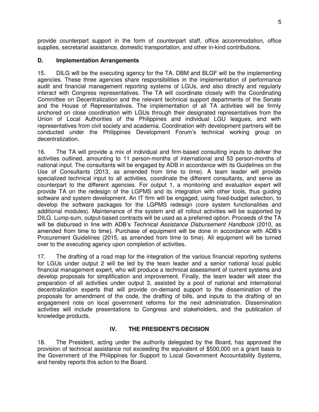provide counterpart support in the form of counterpart staff, office accommodation, office supplies, secretarial assistance, domestic transportation, and other in-kind contributions.

## **D. Implementation Arrangements**

15. DILG will be the executing agency for the TA. DBM and BLGF will be the implementing agencies. These three agencies share responsibilities in the implementation of performance audit and financial management reporting systems of LGUs, and also directly and regularly interact with Congress representatives. The TA will coordinate closely with the Coordinating Committee on Decentralization and the relevant technical support departments of the Senate and the House of Representatives. The implementation of all TA activities will be firmly anchored on close coordination with LGUs through their designated representatives from the Union of Local Authorities of the Philippines and individual LGU leagues, and with representatives from civil society and academia. Coordination with development partners will be conducted under the Philippines Development Forum's technical working group on decentralization.

16. The TA will provide a mix of individual and firm-based consulting inputs to deliver the activities outlined, amounting to 11 person-months of international and 53 person-months of national input. The consultants will be engaged by ADB in accordance with its Guidelines on the Use of Consultants (2013, as amended from time to time). A team leader will provide specialized technical input to all activities, coordinate the different consultants, and serve as counterpart to the different agencies. For output 1, a monitoring and evaluation expert will provide TA on the redesign of the LGPMS and its integration with other tools, thus guiding software and system development. An IT firm will be engaged, using fixed-budget selection, to develop the software packages for the LGPMS redesign (core system functionalities and additional modules). Maintenance of the system and all rollout activities will be supported by DILG. Lump-sum, output-based contracts will be used as a preferred option. Proceeds of the TA will be disbursed in line with ADB's *Technical Assistance Disbursement Handbook* (2010, as amended from time to time). Purchase of equipment will be done in accordance with ADB's Procurement Guidelines (2015, as amended from time to time). All equipment will be turned over to the executing agency upon completion of activities.

17. The drafting of a road map for the integration of the various financial reporting systems for LGUs under output 2 will be led by the team leader and a senior national local public financial management expert, who will produce a technical assessment of current systems and develop proposals for simplification and improvement. Finally, the team leader will steer the preparation of all activities under output 3, assisted by a pool of national and international decentralization experts that will provide on-demand support to the dissemination of the proposals for amendment of the code, the drafting of bills, and inputs to the drafting of an engagement note on local government reforms for the next administration. Dissemination activities will include presentations to Congress and stakeholders, and the publication of knowledge products.

## **IV. THE PRESIDENT'S DECISION**

18. The President, acting under the authority delegated by the Board, has approved the provision of technical assistance not exceeding the equivalent of \$500,000 on a grant basis to the Government of the Philippines for Support to Local Government Accountability Systems, and hereby reports this action to the Board.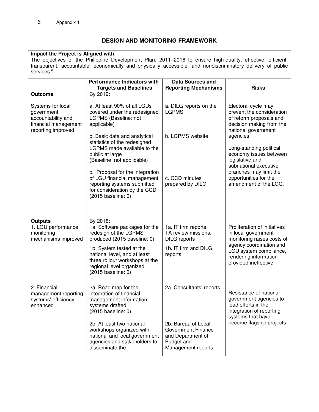## **DESIGN AND MONITORING FRAMEWORK**

## **Impact the Project is Aligned with**

The objectives of the Philippine Development Plan, 2011–2016 to ensure high-quality, effective, efficient, transparent, accountable, economically and physically accessible, and nondiscriminatory delivery of public services<sup>a</sup>

|                                                                                                     | <b>Performance Indicators with</b><br><b>Targets and Baselines</b>                                                                                  | <b>Data Sources and</b><br><b>Reporting Mechanisms</b>                                                           | <b>Risks</b>                                                                                                                   |
|-----------------------------------------------------------------------------------------------------|-----------------------------------------------------------------------------------------------------------------------------------------------------|------------------------------------------------------------------------------------------------------------------|--------------------------------------------------------------------------------------------------------------------------------|
| <b>Outcome</b>                                                                                      | By 2019:                                                                                                                                            |                                                                                                                  |                                                                                                                                |
| Systems for local<br>government<br>accountability and<br>financial management<br>reporting improved | a. At least 90% of all LGUs<br><b>LGPMS</b><br>covered under the redesigned<br>LGPMS (Baseline: not<br>applicable)                                  | a. DILG reports on the                                                                                           | Electoral cycle may<br>prevent the consideration<br>of reform proposals and<br>decision making from the<br>national government |
|                                                                                                     | b. Basic data and analytical<br>statistics of the redesigned<br>LGPMS made available to the<br>public at large<br>(Baseline: not applicable)        | b. LGPMS website                                                                                                 | agencies.<br>Long-standing political<br>economy issues between<br>legislative and<br>subnational executive                     |
|                                                                                                     | c. Proposal for the integration<br>of LGU financial management<br>reporting systems submitted<br>for consideration by the CCD<br>(2015 baseline: 0) | c. CCD minutes<br>prepared by DILG                                                                               | branches may limit the<br>opportunities for the<br>amendment of the LGC.                                                       |
| <b>Outputs</b>                                                                                      | By 2018:                                                                                                                                            |                                                                                                                  |                                                                                                                                |
| 1. LGU performance<br>monitoring<br>mechanisms improved                                             | 1a. Software packages for the<br>redesign of the LGPMS<br>produced (2015 baseline: 0)                                                               | 1a. IT firm reports,<br>TA review missions,<br><b>DILG</b> reports                                               | Proliferation of initiatives<br>in local government<br>monitoring raises costs of                                              |
|                                                                                                     | 1b. System tested at the<br>national level, and at least<br>three rollout workshops at the<br>regional level organized<br>(2015 baseline: 0)        | 1b. IT firm and DILG<br>reports                                                                                  | agency coordination and<br>LGU system compliance,<br>rendering information<br>provided ineffective                             |
| 2. Financial<br>management reporting<br>systems' efficiency<br>enhanced                             | 2a. Road map for the<br>integration of financial<br>management information<br>systems drafted<br>(2015 baseline: 0)                                 | 2a. Consultants' reports                                                                                         | Resistance of national<br>government agencies to<br>lead efforts in the<br>integration of reporting<br>systems that have       |
|                                                                                                     | 2b. At least two national<br>workshops organized with<br>national and local government<br>agencies and stakeholders to<br>disseminate the           | 2b. Bureau of Local<br><b>Government Finance</b><br>and Department of<br><b>Budget and</b><br>Management reports | become flagship projects                                                                                                       |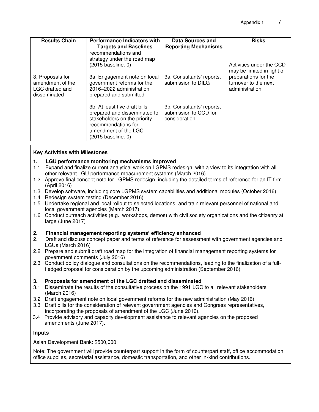| <b>Results Chain</b>                                                    | <b>Performance Indicators with</b><br><b>Targets and Baselines</b>                                                                                                                              | Data Sources and<br><b>Reporting Mechanisms</b>                     | <b>Risks</b>                                                                                                             |
|-------------------------------------------------------------------------|-------------------------------------------------------------------------------------------------------------------------------------------------------------------------------------------------|---------------------------------------------------------------------|--------------------------------------------------------------------------------------------------------------------------|
| 3. Proposals for<br>amendment of the<br>LGC drafted and<br>disseminated | recommendations and<br>strategy under the road map<br>$(2015)$ baseline: 0)<br>3a. Engagement note on local<br>government reforms for the<br>2016-2022 administration<br>prepared and submitted | 3a. Consultants' reports,<br>submission to DILG                     | Activities under the CCD<br>may be limited in light of<br>preparations for the<br>turnover to the next<br>administration |
|                                                                         | 3b. At least five draft bills<br>prepared and disseminated to<br>stakeholders on the priority<br>recommendations for<br>amendment of the LGC<br>$(2015 \text{ baseline: 0})$                    | 3b. Consultants' reports,<br>submission to CCD for<br>consideration |                                                                                                                          |

#### **Key Activities with Milestones**

#### **1. LGU performance monitoring mechanisms improved**

- 1.1 Expand and finalize current analytical work on LGPMS redesign, with a view to its integration with all other relevant LGU performance measurement systems (March 2016)
- 1.2 Approve final concept note for LGPMS redesign, including the detailed terms of reference for an IT firm (April 2016)
- 1.3 Develop software, including core LGPMS system capabilities and additional modules (October 2016)
- 1.4 Redesign system testing (December 2016)
- 1.5 Undertake regional and local rollout to selected locations, and train relevant personnel of national and local government agencies (March 2017)
- 1.6 Conduct outreach activities (e.g., workshops, demos) with civil society organizations and the citizenry at large (June 2017)

#### **2. Financial management reporting systems' efficiency enhanced**

- 2.1 Draft and discuss concept paper and terms of reference for assessment with government agencies and LGUs (March 2016)
- 2.2 Prepare and submit draft road map for the integration of financial management reporting systems for government comments (July 2016)
- 2.3 Conduct policy dialogue and consultations on the recommendations, leading to the finalization of a fullfledged proposal for consideration by the upcoming administration (September 2016)

#### **3. Proposals for amendment of the LGC drafted and disseminated**

- 3.1 Disseminate the results of the consultative process on the 1991 LGC to all relevant stakeholders (March 2016)
- 3.2 Draft engagement note on local government reforms for the new administration (May 2016)
- 3.3 Draft bills for the consideration of relevant government agencies and Congress representatives, incorporating the proposals of amendment of the LGC (June 2016).
- 3.4 Provide advisory and capacity development assistance to relevant agencies on the proposed amendments (June 2017).

#### **Inputs**

Asian Development Bank: \$500,000

Note: The government will provide counterpart support in the form of counterpart staff, office accommodation, office supplies, secretarial assistance, domestic transportation, and other in-kind contributions.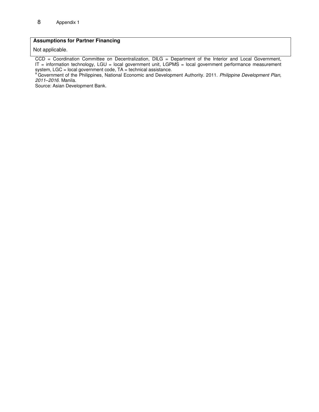## **Assumptions for Partner Financing**

Not applicable.

CCD = Coordination Committee on Decentralization, DILG = Department of the Interior and Local Government, IT = information technology, LGU = local government unit, LGPMS = local government performance measurement system, LGC = local government code, TA = technical assistance.

<sup>a</sup> Government of the Philippines, National Economic and Development Authority. 2011. Philippine Development Plan, *2011–2016.* Manila.

Source: Asian Development Bank.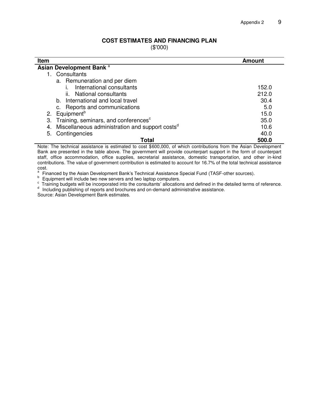#### **COST ESTIMATES AND FINANCING PLAN**

(\$'000)

| <b>Item</b>                                                       | Amount |  |  |  |
|-------------------------------------------------------------------|--------|--|--|--|
| Asian Development Bank <sup>a</sup>                               |        |  |  |  |
| Consultants                                                       |        |  |  |  |
| a. Remuneration and per diem                                      |        |  |  |  |
| International consultants                                         | 152.0  |  |  |  |
| ii. National consultants                                          | 212.0  |  |  |  |
| b. International and local travel                                 | 30.4   |  |  |  |
| c. Reports and communications                                     | 5.0    |  |  |  |
| 2. Equipment <sup>b</sup>                                         | 15.0   |  |  |  |
| Training, seminars, and conferences <sup>c</sup><br>3.            | 35.0   |  |  |  |
| Miscellaneous administration and support costs <sup>d</sup><br>4. | 10.6   |  |  |  |
| Contingencies<br>5.                                               | 40.0   |  |  |  |
| Total                                                             | 500.0  |  |  |  |

Note: The technical assistance is estimated to cost \$600,000, of which contributions from the Asian Development Bank are presented in the table above. The government will provide counterpart support in the form of counterpart staff, office accommodation, office supplies, secretarial assistance, domestic transportation, and other in-kind contributions. The value of government contribution is estimated to account for 16.7% of the total technical assistance  $\frac{cost}{a}$ 

Financed by the Asian Development Bank's Technical Assistance Special Fund (TASF-other sources).

b Equipment will include two new servers and two laptop computers.

 $\textdegree$  Training budgets will be incorporated into the consultants' allocations and defined in the detailed terms of reference. d Including publishing of reports and brochures and on-demand administrative assistance.

Source: Asian Development Bank estimates.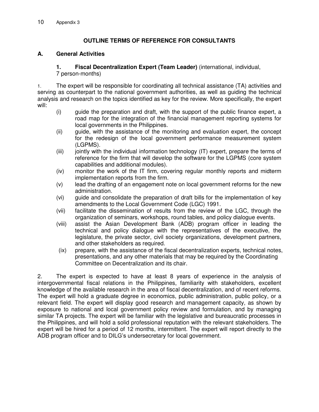## **OUTLINE TERMS OF REFERENCE FOR CONSULTANTS**

## **A. General Activities**

#### **1. Fiscal Decentralization Expert (Team Leader)** (international, individual, 7 person-months)

1. The expert will be responsible for coordinating all technical assistance (TA) activities and serving as counterpart to the national government authorities, as well as guiding the technical analysis and research on the topics identified as key for the review. More specifically, the expert will:

- (i) guide the preparation and draft, with the support of the public finance expert, a road map for the integration of the financial management reporting systems for local governments in the Philippines.
- (ii) guide, with the assistance of the monitoring and evaluation expert, the concept for the redesign of the local government performance measurement system (LGPMS).
- (iii) jointly with the individual information technology (IT) expert, prepare the terms of reference for the firm that will develop the software for the LGPMS (core system capabilities and additional modules).
- (iv) monitor the work of the IT firm, covering regular monthly reports and midterm implementation reports from the firm.
- (v) lead the drafting of an engagement note on local government reforms for the new administration.
- (vi) guide and consolidate the preparation of draft bills for the implementation of key amendments to the Local Government Code (LGC) 1991.
- (vii) facilitate the dissemination of results from the review of the LGC, through the organization of seminars, workshops, round tables, and policy dialogue events.
- (viii) assist the Asian Development Bank (ADB) program officer in leading the technical and policy dialogue with the representatives of the executive, the legislature, the private sector, civil society organizations, development partners, and other stakeholders as required.
- (ix) prepare, with the assistance of the fiscal decentralization experts, technical notes, presentations, and any other materials that may be required by the Coordinating Committee on Decentralization and its chair.

2. The expert is expected to have at least 8 years of experience in the analysis of intergovernmental fiscal relations in the Philippines, familiarity with stakeholders, excellent knowledge of the available research in the area of fiscal decentralization, and of recent reforms. The expert will hold a graduate degree in economics, public administration, public policy, or a relevant field. The expert will display good research and management capacity, as shown by exposure to national and local government policy review and formulation, and by managing similar TA projects. The expert will be familiar with the legislative and bureaucratic processes in the Philippines, and will hold a solid professional reputation with the relevant stakeholders. The expert will be hired for a period of 12 months, intermittent. The expert will report directly to the ADB program officer and to DILG's undersecretary for local government.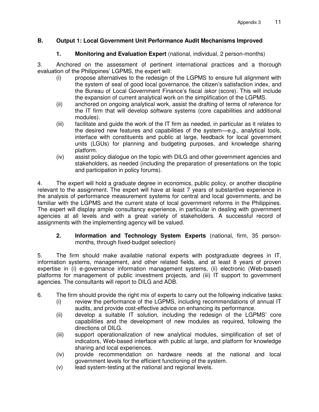## **B. Output 1: Local Government Unit Performance Audit Mechanisms Improved**

## **1. Monitoring and Evaluation Expert** (national, individual, 2 person-months)

3. Anchored on the assessment of pertinent international practices and a thorough evaluation of the Philippines' LGPMS, the expert will:

- (i) propose alternatives to the redesign of the LGPMS to ensure full alignment with the system of seal of good local governance, the citizen's satisfaction index, and the Bureau of Local Government Finance's fiscal *iskor* (score). This will include the expansion of current analytical work on the simplification of the LGPMS.
- (ii) anchored on ongoing analytical work, assist the drafting of terms of reference for the IT firm that will develop software systems (core capabilities and additional modules).
- (iii) facilitate and guide the work of the IT firm as needed, in particular as it relates to the desired new features and capabilities of the system—e.g., analytical tools, interface with constituents and public at large, feedback for local government units (LGUs) for planning and budgeting purposes, and knowledge sharing platform.
- (iv) assist policy dialogue on the topic with DILG and other government agencies and stakeholders, as needed (including the preparation of presentations on the topic and participation in policy forums).

4. The expert will hold a graduate degree in economics, public policy, or another discipline relevant to the assignment. The expert will have at least 7 years of substantive experience in the analysis of performance measurement systems for central and local governments, and be familiar with the LGPMS and the current state of local government reforms in the Philippines. The expert will display ample consultancy experience, in particular in dealing with government agencies at all levels and with a great variety of stakeholders. A successful record of assignments with the implementing agency will be valued.

#### **2. Information and Technology System Experts** (national, firm, 35 personmonths, through fixed-budget selection)

5. The firm should make available national experts with postgraduate degrees in IT, information systems, management, and other related fields, and at least 8 years of proven expertise in (i) e-governance information management systems, (ii) electronic (Web-based) platforms for management of public investment projects, and (iii) IT support to government agencies. The consultants will report to DILG and ADB.

- 6. The firm should provide the right mix of experts to carry out the following indicative tasks:
	- (i) review the performance of the LGPMS, including recommendations of annual IT audits, and provide cost-effective advice on enhancing its performance.
	- (ii) develop a suitable IT solution, including the redesign of the LGPMS' core capabilities and the development of new modules as required, following the directions of DILG.
	- (iii) support operationalization of new analytical modules, simplification of set of indicators, Web-based interface with public at large, and platform for knowledge sharing and local experiences.
	- (iv) provide recommendation on hardware needs at the national and local government levels for the efficient functioning of the system.
	- (v) lead system-testing at the national and regional levels.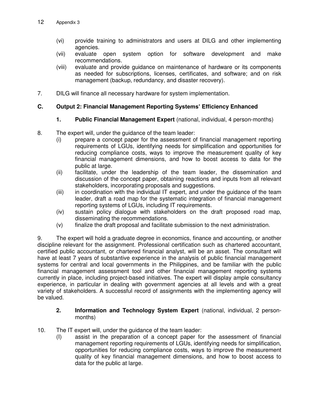- (vi) provide training to administrators and users at DILG and other implementing agencies.
- (vii) evaluate open system option for software development and make recommendations.
- (viii) evaluate and provide guidance on maintenance of hardware or its components as needed for subscriptions, licenses, certificates, and software; and on risk management (backup, redundancy, and disaster recovery).
- 7. DILG will finance all necessary hardware for system implementation.

## **C. Output 2: Financial Management Reporting Systems' Efficiency Enhanced**

## **1. Public Financial Management Expert** (national, individual, 4 person-months)

- 8. The expert will, under the guidance of the team leader:
	- (i) prepare a concept paper for the assessment of financial management reporting requirements of LGUs, identifying needs for simplification and opportunities for reducing compliance costs, ways to improve the measurement quality of key financial management dimensions, and how to boost access to data for the public at large.
	- (ii) facilitate, under the leadership of the team leader, the dissemination and discussion of the concept paper, obtaining reactions and inputs from all relevant stakeholders, incorporating proposals and suggestions.
	- (iii) in coordination with the individual IT expert, and under the guidance of the team leader, draft a road map for the systematic integration of financial management reporting systems of LGUs, including IT requirements.
	- (iv) sustain policy dialogue with stakeholders on the draft proposed road map, disseminating the recommendations.
	- (v) finalize the draft proposal and facilitate submission to the next administration.

9. The expert will hold a graduate degree in economics, finance and accounting, or another discipline relevant for the assignment. Professional certification such as chartered accountant, certified public accountant, or chartered financial analyst, will be an asset. The consultant will have at least 7 years of substantive experience in the analysis of public financial management systems for central and local governments in the Philippines, and be familiar with the public financial management assessment tool and other financial management reporting systems currently in place, including project-based initiatives. The expert will display ample consultancy experience, in particular in dealing with government agencies at all levels and with a great variety of stakeholders. A successful record of assignments with the implementing agency will be valued.

#### **2. Information and Technology System Expert** (national, individual, 2 personmonths)

- 10. The IT expert will, under the guidance of the team leader:
	- (I) assist in the preparation of a concept paper for the assessment of financial management reporting requirements of LGUs, identifying needs for simplification, opportunities for reducing compliance costs, ways to improve the measurement quality of key financial management dimensions, and how to boost access to data for the public at large.